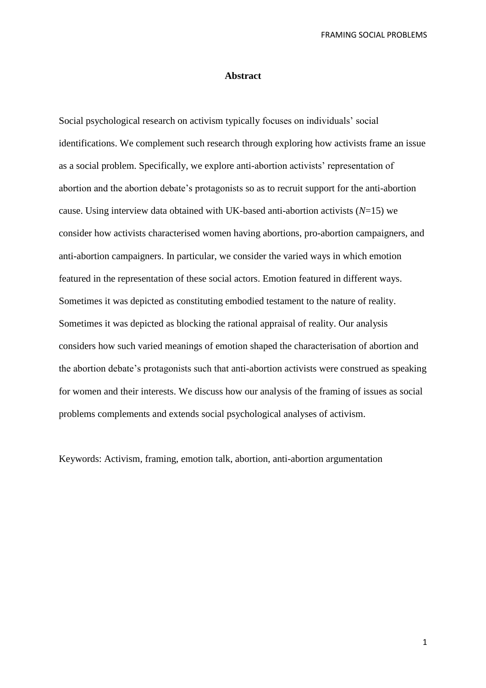## **Abstract**

Social psychological research on activism typically focuses on individuals' social identifications. We complement such research through exploring how activists frame an issue as a social problem. Specifically, we explore anti-abortion activists' representation of abortion and the abortion debate's protagonists so as to recruit support for the anti-abortion cause. Using interview data obtained with UK-based anti-abortion activists (*N*=15) we consider how activists characterised women having abortions, pro-abortion campaigners, and anti-abortion campaigners. In particular, we consider the varied ways in which emotion featured in the representation of these social actors. Emotion featured in different ways. Sometimes it was depicted as constituting embodied testament to the nature of reality. Sometimes it was depicted as blocking the rational appraisal of reality. Our analysis considers how such varied meanings of emotion shaped the characterisation of abortion and the abortion debate's protagonists such that anti-abortion activists were construed as speaking for women and their interests. We discuss how our analysis of the framing of issues as social problems complements and extends social psychological analyses of activism.

Keywords: Activism, framing, emotion talk, abortion, anti-abortion argumentation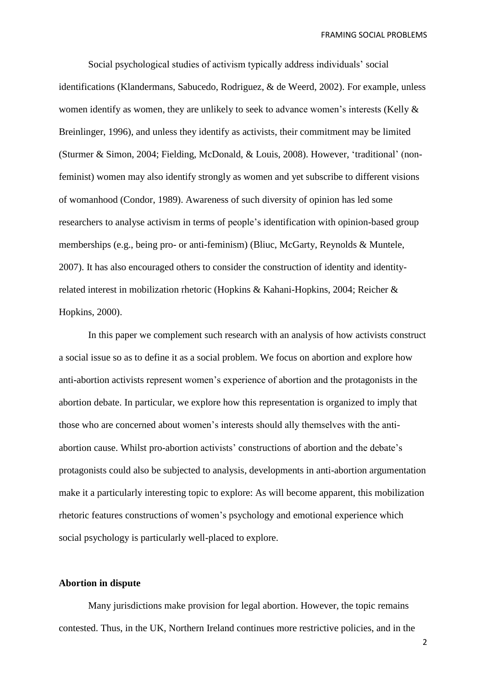Social psychological studies of activism typically address individuals' social identifications (Klandermans, Sabucedo, Rodriguez, & de Weerd, 2002). For example, unless women identify as women, they are unlikely to seek to advance women's interests (Kelly & Breinlinger, 1996), and unless they identify as activists, their commitment may be limited (Sturmer & Simon, 2004; Fielding, McDonald, & Louis, 2008). However, 'traditional' (nonfeminist) women may also identify strongly as women and yet subscribe to different visions of womanhood (Condor, 1989). Awareness of such diversity of opinion has led some researchers to analyse activism in terms of people's identification with opinion-based group memberships (e.g., being pro- or anti-feminism) (Bliuc, McGarty, Reynolds & Muntele, 2007). It has also encouraged others to consider the construction of identity and identityrelated interest in mobilization rhetoric (Hopkins & Kahani-Hopkins, 2004; Reicher & Hopkins, 2000).

In this paper we complement such research with an analysis of how activists construct a social issue so as to define it as a social problem. We focus on abortion and explore how anti-abortion activists represent women's experience of abortion and the protagonists in the abortion debate. In particular, we explore how this representation is organized to imply that those who are concerned about women's interests should ally themselves with the antiabortion cause. Whilst pro-abortion activists' constructions of abortion and the debate's protagonists could also be subjected to analysis, developments in anti-abortion argumentation make it a particularly interesting topic to explore: As will become apparent, this mobilization rhetoric features constructions of women's psychology and emotional experience which social psychology is particularly well-placed to explore.

## **Abortion in dispute**

Many jurisdictions make provision for legal abortion. However, the topic remains contested. Thus, in the UK, Northern Ireland continues more restrictive policies, and in the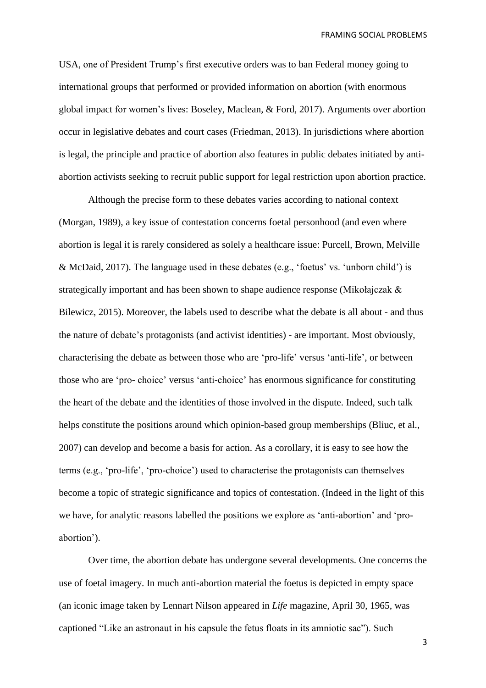USA, one of President Trump's first executive orders was to ban Federal money going to international groups that performed or provided information on abortion (with enormous global impact for women's lives: Boseley, Maclean, & Ford, 2017). Arguments over abortion occur in legislative debates and court cases (Friedman, 2013). In jurisdictions where abortion is legal, the principle and practice of abortion also features in public debates initiated by antiabortion activists seeking to recruit public support for legal restriction upon abortion practice.

Although the precise form to these debates varies according to national context (Morgan, 1989), a key issue of contestation concerns foetal personhood (and even where abortion is legal it is rarely considered as solely a healthcare issue: Purcell, Brown, Melville & McDaid, 2017). The language used in these debates (e.g., 'foetus' vs. 'unborn child') is strategically important and has been shown to shape audience response (Mikołajczak & Bilewicz, 2015). Moreover, the labels used to describe what the debate is all about - and thus the nature of debate's protagonists (and activist identities) - are important. Most obviously, characterising the debate as between those who are 'pro-life' versus 'anti-life', or between those who are 'pro- choice' versus 'anti-choice' has enormous significance for constituting the heart of the debate and the identities of those involved in the dispute. Indeed, such talk helps constitute the positions around which opinion-based group memberships (Bliuc, et al., 2007) can develop and become a basis for action. As a corollary, it is easy to see how the terms (e.g., 'pro-life', 'pro-choice') used to characterise the protagonists can themselves become a topic of strategic significance and topics of contestation. (Indeed in the light of this we have, for analytic reasons labelled the positions we explore as 'anti-abortion' and 'proabortion').

Over time, the abortion debate has undergone several developments. One concerns the use of foetal imagery. In much anti-abortion material the foetus is depicted in empty space (an iconic image taken by Lennart Nilson appeared in *Life* magazine, April 30, 1965, was captioned "Like an astronaut in his capsule the fetus floats in its amniotic sac"). Such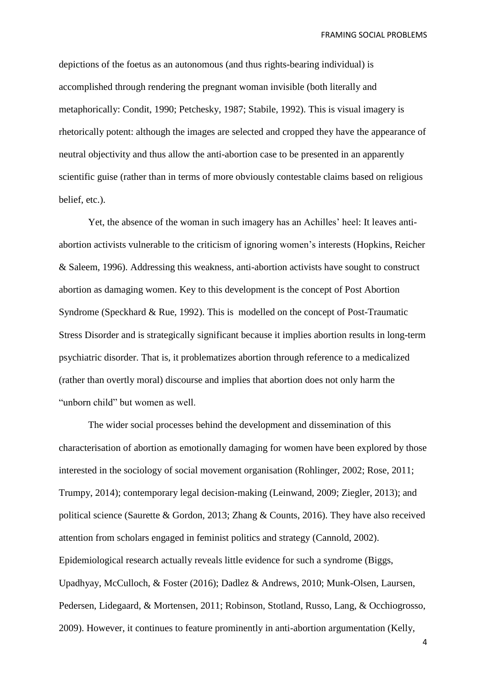depictions of the foetus as an autonomous (and thus rights-bearing individual) is accomplished through rendering the pregnant woman invisible (both literally and metaphorically: Condit, 1990; Petchesky, 1987; Stabile, 1992). This is visual imagery is rhetorically potent: although the images are selected and cropped they have the appearance of neutral objectivity and thus allow the anti-abortion case to be presented in an apparently scientific guise (rather than in terms of more obviously contestable claims based on religious belief, etc.).

Yet, the absence of the woman in such imagery has an Achilles' heel: It leaves antiabortion activists vulnerable to the criticism of ignoring women's interests (Hopkins, Reicher & Saleem, 1996). Addressing this weakness, anti-abortion activists have sought to construct abortion as damaging women. Key to this development is the concept of Post Abortion Syndrome (Speckhard & Rue, 1992). This is modelled on the concept of Post[-Traumatic](https://www.psychologytoday.com/basics/trauma) Stress Disorder and is strategically significant because it implies abortion results in long-term psychiatric disorder. That is, it problematizes abortion through reference to a medicalized (rather than overtly moral) discourse and implies that abortion does not only harm the "unborn child" but women as well.

The wider social processes behind the development and dissemination of this characterisation of abortion as emotionally damaging for women have been explored by those interested in the sociology of social movement organisation (Rohlinger, 2002; Rose, 2011; Trumpy, 2014); contemporary legal decision-making (Leinwand, 2009; Ziegler, 2013); and political science (Saurette & Gordon, 2013; Zhang & Counts, 2016). They have also received attention from scholars engaged in feminist politics and strategy (Cannold, 2002). Epidemiological research actually reveals little evidence for such a syndrome (Biggs, Upadhyay, McCulloch, & Foster (2016); Dadlez & Andrews, 2010; Munk-Olsen, Laursen, Pedersen, Lidegaard, & Mortensen, 2011; Robinson, Stotland, Russo, Lang, & Occhiogrosso, 2009). However, it continues to feature prominently in anti-abortion argumentation (Kelly,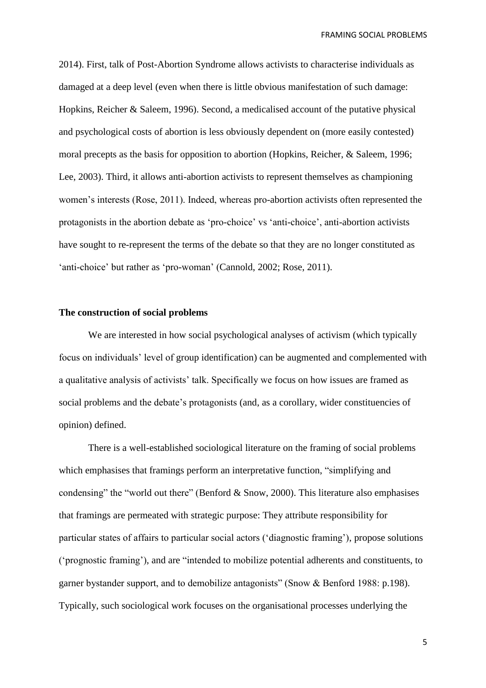2014). First, talk of Post-Abortion Syndrome allows activists to characterise individuals as damaged at a deep level (even when there is little obvious manifestation of such damage: Hopkins, Reicher & Saleem, 1996). Second, a medicalised account of the putative physical and psychological costs of abortion is less obviously dependent on (more easily contested) moral precepts as the basis for opposition to abortion (Hopkins, Reicher, & Saleem, 1996; Lee, 2003). Third, it allows anti-abortion activists to represent themselves as championing women's interests (Rose, 2011). Indeed, whereas pro-abortion activists often represented the protagonists in the abortion debate as 'pro-choice' vs 'anti-choice', anti-abortion activists have sought to re-represent the terms of the debate so that they are no longer constituted as 'anti-choice' but rather as 'pro-woman' (Cannold, 2002; Rose, 2011).

#### **The construction of social problems**

We are interested in how social psychological analyses of activism (which typically focus on individuals' level of group identification) can be augmented and complemented with a qualitative analysis of activists' talk. Specifically we focus on how issues are framed as social problems and the debate's protagonists (and, as a corollary, wider constituencies of opinion) defined.

There is a well-established sociological literature on the framing of social problems which emphasises that framings perform an interpretative function, "simplifying and condensing" the "world out there" (Benford & Snow, 2000). This literature also emphasises that framings are permeated with strategic purpose: They attribute responsibility for particular states of affairs to particular social actors ('diagnostic framing'), propose solutions ('prognostic framing'), and are "intended to mobilize potential adherents and constituents, to garner bystander support, and to demobilize antagonists" (Snow & Benford 1988: p.198). Typically, such sociological work focuses on the organisational processes underlying the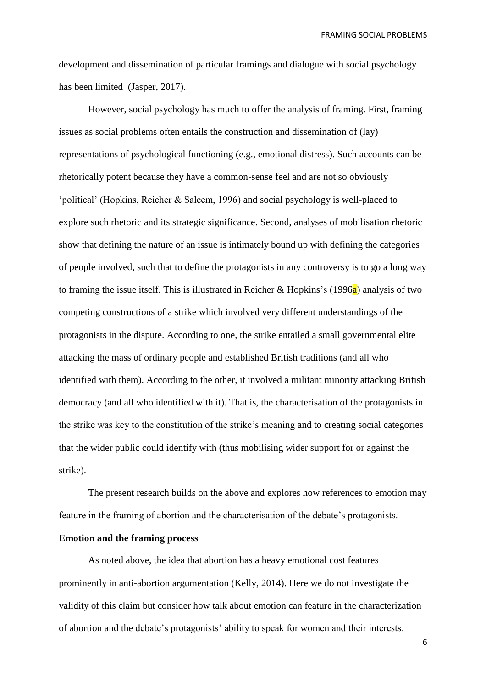development and dissemination of particular framings and dialogue with social psychology has been limited (Jasper, 2017).

However, social psychology has much to offer the analysis of framing. First, framing issues as social problems often entails the construction and dissemination of (lay) representations of psychological functioning (e.g., emotional distress). Such accounts can be rhetorically potent because they have a common-sense feel and are not so obviously 'political' (Hopkins, Reicher & Saleem, 1996) and social psychology is well-placed to explore such rhetoric and its strategic significance. Second, analyses of mobilisation rhetoric show that defining the nature of an issue is intimately bound up with defining the categories of people involved, such that to define the protagonists in any controversy is to go a long way to framing the issue itself. This is illustrated in Reicher & Hopkins's (1996 $a$ ) analysis of two competing constructions of a strike which involved very different understandings of the protagonists in the dispute. According to one, the strike entailed a small governmental elite attacking the mass of ordinary people and established British traditions (and all who identified with them). According to the other, it involved a militant minority attacking British democracy (and all who identified with it). That is, the characterisation of the protagonists in the strike was key to the constitution of the strike's meaning and to creating social categories that the wider public could identify with (thus mobilising wider support for or against the strike).

The present research builds on the above and explores how references to emotion may feature in the framing of abortion and the characterisation of the debate's protagonists.

# **Emotion and the framing process**

As noted above, the idea that abortion has a heavy emotional cost features prominently in anti-abortion argumentation (Kelly, 2014). Here we do not investigate the validity of this claim but consider how talk about emotion can feature in the characterization of abortion and the debate's protagonists' ability to speak for women and their interests.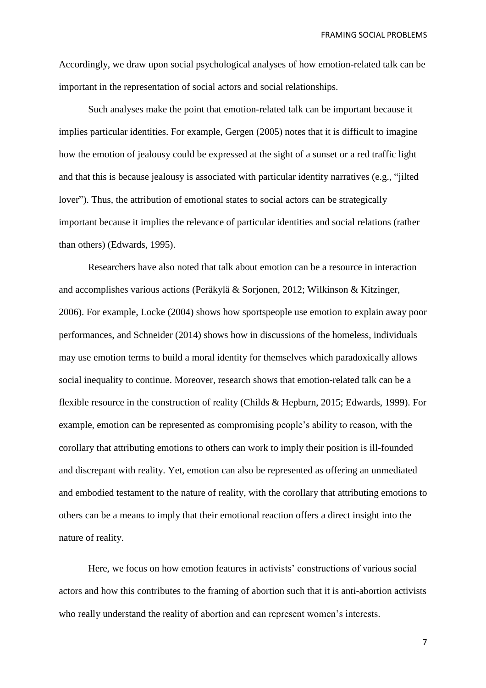Accordingly, we draw upon social psychological analyses of how emotion-related talk can be important in the representation of social actors and social relationships.

Such analyses make the point that emotion-related talk can be important because it implies particular identities. For example, Gergen (2005) notes that it is difficult to imagine how the emotion of jealousy could be expressed at the sight of a sunset or a red traffic light and that this is because jealousy is associated with particular identity narratives (e.g., "jilted lover"). Thus, the attribution of emotional states to social actors can be strategically important because it implies the relevance of particular identities and social relations (rather than others) (Edwards, 1995).

Researchers have also noted that talk about emotion can be a resource in interaction and accomplishes various actions (Peräkylä & Sorjonen, 2012; Wilkinson & Kitzinger, 2006). For example, Locke (2004) shows how sportspeople use emotion to explain away poor performances, and Schneider (2014) shows how in discussions of the homeless, individuals may use emotion terms to build a moral identity for themselves which paradoxically allows social inequality to continue. Moreover, research shows that emotion-related talk can be a flexible resource in the construction of reality (Childs & Hepburn, 2015; Edwards, 1999). For example, emotion can be represented as compromising people's ability to reason, with the corollary that attributing emotions to others can work to imply their position is ill-founded and discrepant with reality. Yet, emotion can also be represented as offering an unmediated and embodied testament to the nature of reality, with the corollary that attributing emotions to others can be a means to imply that their emotional reaction offers a direct insight into the nature of reality.

Here, we focus on how emotion features in activists' constructions of various social actors and how this contributes to the framing of abortion such that it is anti-abortion activists who really understand the reality of abortion and can represent women's interests.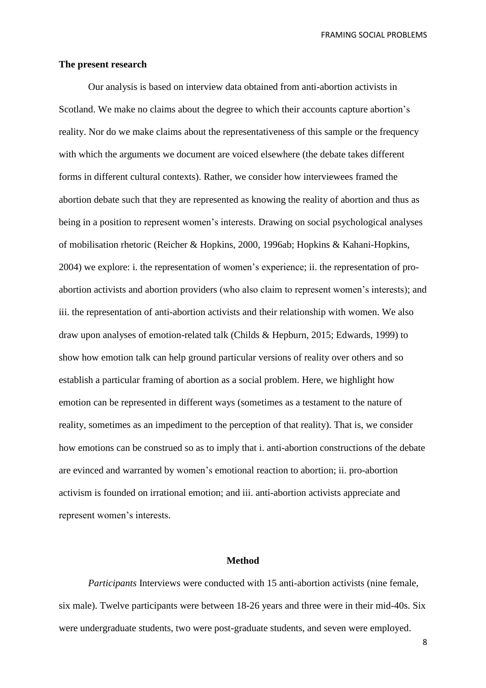#### **The present research**

Our analysis is based on interview data obtained from anti-abortion activists in Scotland. We make no claims about the degree to which their accounts capture abortion's reality. Nor do we make claims about the representativeness of this sample or the frequency with which the arguments we document are voiced elsewhere (the debate takes different forms in different cultural contexts). Rather, we consider how interviewees framed the abortion debate such that they are represented as knowing the reality of abortion and thus as being in a position to represent women's interests. Drawing on social psychological analyses of mobilisation rhetoric (Reicher & Hopkins, 2000, 1996ab; Hopkins & Kahani-Hopkins, 2004) we explore: i. the representation of women's experience; ii. the representation of proabortion activists and abortion providers (who also claim to represent women's interests); and iii. the representation of anti-abortion activists and their relationship with women. We also draw upon analyses of emotion-related talk (Childs & Hepburn, 2015; Edwards, 1999) to show how emotion talk can help ground particular versions of reality over others and so establish a particular framing of abortion as a social problem. Here, we highlight how emotion can be represented in different ways (sometimes as a testament to the nature of reality, sometimes as an impediment to the perception of that reality). That is, we consider how emotions can be construed so as to imply that i. anti-abortion constructions of the debate are evinced and warranted by women's emotional reaction to abortion; ii. pro-abortion activism is founded on irrational emotion; and iii. anti-abortion activists appreciate and represent women's interests.

## **Method**

*Participants* Interviews were conducted with 15 anti-abortion activists (nine female, six male). Twelve participants were between 18-26 years and three were in their mid-40s. Six were undergraduate students, two were post-graduate students, and seven were employed.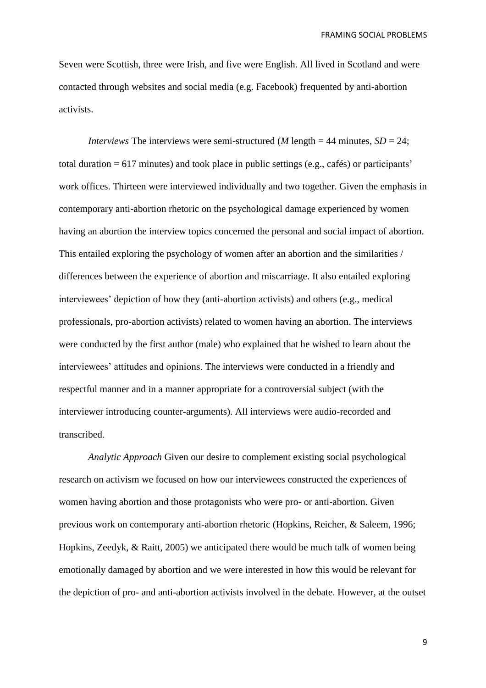Seven were Scottish, three were Irish, and five were English. All lived in Scotland and were contacted through websites and social media (e.g. Facebook) frequented by anti-abortion activists.

*Interviews* The interviews were semi-structured (*M* length = 44 minutes,  $SD = 24$ ; total duration = 617 minutes) and took place in public settings (e.g., cafés) or participants' work offices. Thirteen were interviewed individually and two together. Given the emphasis in contemporary anti-abortion rhetoric on the psychological damage experienced by women having an abortion the interview topics concerned the personal and social impact of abortion. This entailed exploring the psychology of women after an abortion and the similarities / differences between the experience of abortion and miscarriage. It also entailed exploring interviewees' depiction of how they (anti-abortion activists) and others (e.g., medical professionals, pro-abortion activists) related to women having an abortion. The interviews were conducted by the first author (male) who explained that he wished to learn about the interviewees' attitudes and opinions. The interviews were conducted in a friendly and respectful manner and in a manner appropriate for a controversial subject (with the interviewer introducing counter-arguments). All interviews were audio-recorded and transcribed.

*Analytic Approach* Given our desire to complement existing social psychological research on activism we focused on how our interviewees constructed the experiences of women having abortion and those protagonists who were pro- or anti-abortion. Given previous work on contemporary anti-abortion rhetoric (Hopkins, Reicher, & Saleem, 1996; Hopkins, Zeedyk, & Raitt, 2005) we anticipated there would be much talk of women being emotionally damaged by abortion and we were interested in how this would be relevant for the depiction of pro- and anti-abortion activists involved in the debate. However, at the outset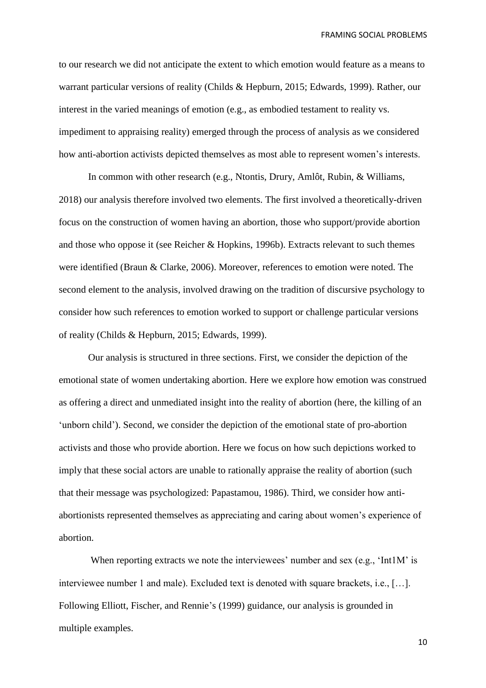to our research we did not anticipate the extent to which emotion would feature as a means to warrant particular versions of reality (Childs & Hepburn, 2015; Edwards, 1999). Rather, our interest in the varied meanings of emotion (e.g., as embodied testament to reality vs. impediment to appraising reality) emerged through the process of analysis as we considered how anti-abortion activists depicted themselves as most able to represent women's interests.

In common with other research (e.g., Ntontis, Drury, Amlôt, Rubin, & Williams, 2018) our analysis therefore involved two elements. The first involved a theoretically-driven focus on the construction of women having an abortion, those who support/provide abortion and those who oppose it (see Reicher & Hopkins, 1996b). Extracts relevant to such themes were identified (Braun & Clarke, 2006). Moreover, references to emotion were noted. The second element to the analysis, involved drawing on the tradition of discursive psychology to consider how such references to emotion worked to support or challenge particular versions of reality (Childs & Hepburn, 2015; Edwards, 1999).

Our analysis is structured in three sections. First, we consider the depiction of the emotional state of women undertaking abortion. Here we explore how emotion was construed as offering a direct and unmediated insight into the reality of abortion (here, the killing of an 'unborn child'). Second, we consider the depiction of the emotional state of pro-abortion activists and those who provide abortion. Here we focus on how such depictions worked to imply that these social actors are unable to rationally appraise the reality of abortion (such that their message was psychologized: Papastamou, 1986). Third, we consider how antiabortionists represented themselves as appreciating and caring about women's experience of abortion.

When reporting extracts we note the interviewees' number and sex (e.g., 'Int1M' is interviewee number 1 and male). Excluded text is denoted with square brackets, i.e., […]. Following Elliott, Fischer, and Rennie's (1999) guidance, our analysis is grounded in multiple examples.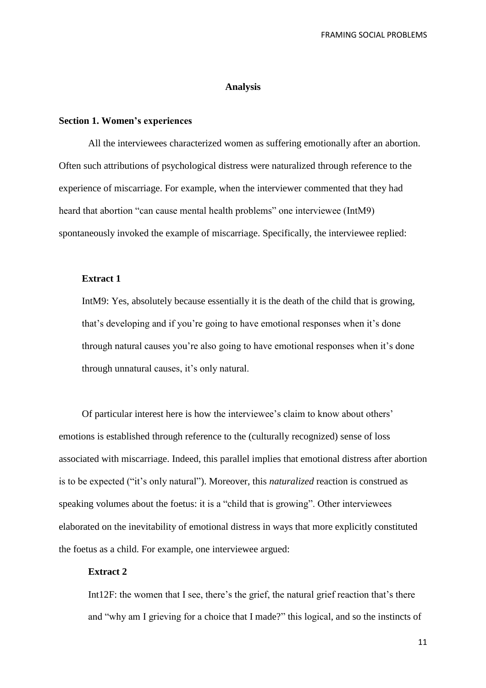#### **Analysis**

### **Section 1. Women's experiences**

All the interviewees characterized women as suffering emotionally after an abortion. Often such attributions of psychological distress were naturalized through reference to the experience of miscarriage. For example, when the interviewer commented that they had heard that abortion "can cause mental health problems" one interviewee (IntM9) spontaneously invoked the example of miscarriage. Specifically, the interviewee replied:

## **Extract 1**

IntM9: Yes, absolutely because essentially it is the death of the child that is growing, that's developing and if you're going to have emotional responses when it's done through natural causes you're also going to have emotional responses when it's done through unnatural causes, it's only natural.

Of particular interest here is how the interviewee's claim to know about others' emotions is established through reference to the (culturally recognized) sense of loss associated with miscarriage. Indeed, this parallel implies that emotional distress after abortion is to be expected ("it's only natural"). Moreover, this *naturalized* reaction is construed as speaking volumes about the foetus: it is a "child that is growing". Other interviewees elaborated on the inevitability of emotional distress in ways that more explicitly constituted the foetus as a child. For example, one interviewee argued:

## **Extract 2**

Int12F: the women that I see, there's the grief, the natural grief reaction that's there and "why am I grieving for a choice that I made?" this logical, and so the instincts of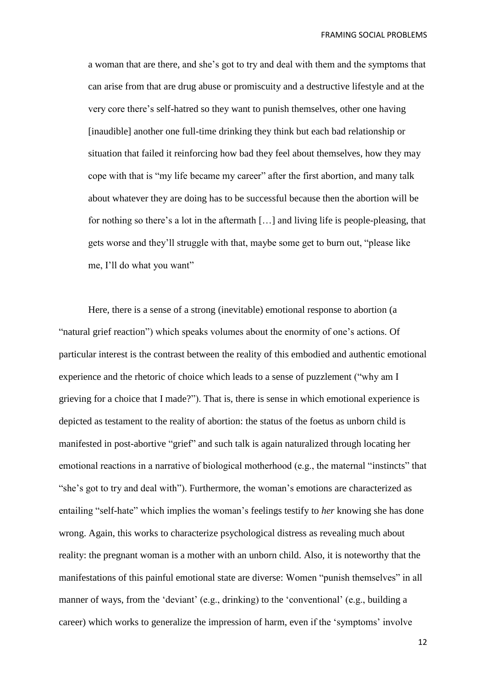a woman that are there, and she's got to try and deal with them and the symptoms that can arise from that are drug abuse or promiscuity and a destructive lifestyle and at the very core there's self-hatred so they want to punish themselves, other one having [inaudible] another one full-time drinking they think but each bad relationship or situation that failed it reinforcing how bad they feel about themselves, how they may cope with that is "my life became my career" after the first abortion, and many talk about whatever they are doing has to be successful because then the abortion will be for nothing so there's a lot in the aftermath […] and living life is people-pleasing, that gets worse and they'll struggle with that, maybe some get to burn out, "please like me, I'll do what you want"

Here, there is a sense of a strong (inevitable) emotional response to abortion (a "natural grief reaction") which speaks volumes about the enormity of one's actions. Of particular interest is the contrast between the reality of this embodied and authentic emotional experience and the rhetoric of choice which leads to a sense of puzzlement ("why am I grieving for a choice that I made?"). That is, there is sense in which emotional experience is depicted as testament to the reality of abortion: the status of the foetus as unborn child is manifested in post-abortive "grief" and such talk is again naturalized through locating her emotional reactions in a narrative of biological motherhood (e.g., the maternal "instincts" that "she's got to try and deal with"). Furthermore, the woman's emotions are characterized as entailing "self-hate" which implies the woman's feelings testify to *her* knowing she has done wrong. Again, this works to characterize psychological distress as revealing much about reality: the pregnant woman is a mother with an unborn child. Also, it is noteworthy that the manifestations of this painful emotional state are diverse: Women "punish themselves" in all manner of ways, from the 'deviant' (e.g., drinking) to the 'conventional' (e.g., building a career) which works to generalize the impression of harm, even if the 'symptoms' involve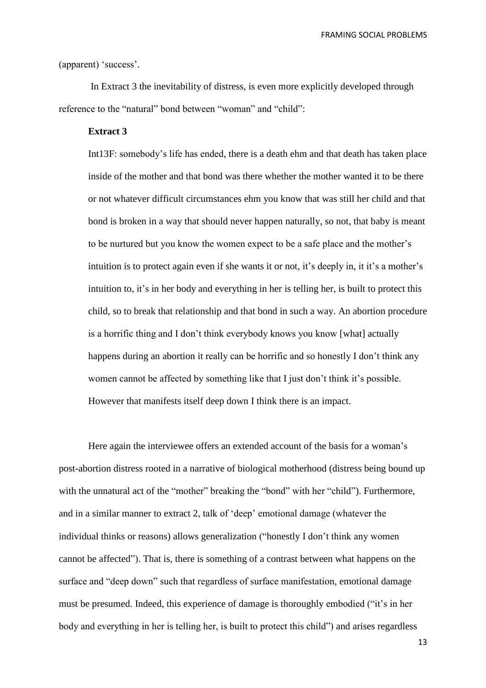(apparent) 'success'.

In Extract 3 the inevitability of distress, is even more explicitly developed through reference to the "natural" bond between "woman" and "child":

# **Extract 3**

Int13F: somebody's life has ended, there is a death ehm and that death has taken place inside of the mother and that bond was there whether the mother wanted it to be there or not whatever difficult circumstances ehm you know that was still her child and that bond is broken in a way that should never happen naturally, so not, that baby is meant to be nurtured but you know the women expect to be a safe place and the mother's intuition is to protect again even if she wants it or not, it's deeply in, it it's a mother's intuition to, it's in her body and everything in her is telling her, is built to protect this child, so to break that relationship and that bond in such a way. An abortion procedure is a horrific thing and I don't think everybody knows you know [what] actually happens during an abortion it really can be horrific and so honestly I don't think any women cannot be affected by something like that I just don't think it's possible. However that manifests itself deep down I think there is an impact.

Here again the interviewee offers an extended account of the basis for a woman's post-abortion distress rooted in a narrative of biological motherhood (distress being bound up with the unnatural act of the "mother" breaking the "bond" with her "child"). Furthermore, and in a similar manner to extract 2, talk of 'deep' emotional damage (whatever the individual thinks or reasons) allows generalization ("honestly I don't think any women cannot be affected"). That is, there is something of a contrast between what happens on the surface and "deep down" such that regardless of surface manifestation, emotional damage must be presumed. Indeed, this experience of damage is thoroughly embodied ("it's in her body and everything in her is telling her, is built to protect this child") and arises regardless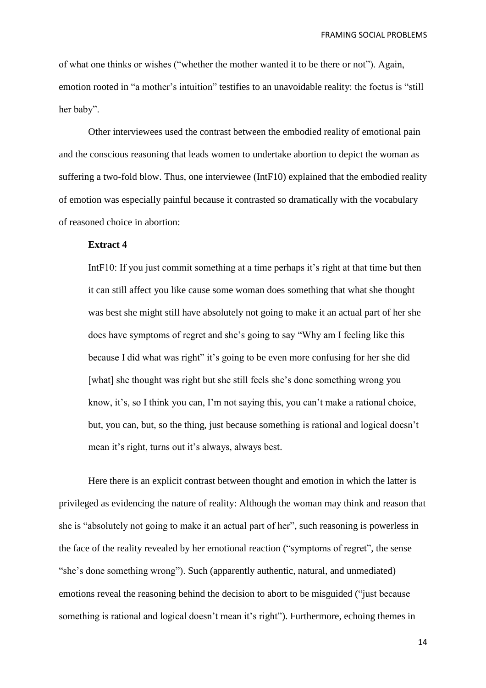of what one thinks or wishes ("whether the mother wanted it to be there or not"). Again, emotion rooted in "a mother's intuition" testifies to an unavoidable reality: the foetus is "still her baby".

Other interviewees used the contrast between the embodied reality of emotional pain and the conscious reasoning that leads women to undertake abortion to depict the woman as suffering a two-fold blow. Thus, one interviewee (IntF10) explained that the embodied reality of emotion was especially painful because it contrasted so dramatically with the vocabulary of reasoned choice in abortion:

## **Extract 4**

IntF10: If you just commit something at a time perhaps it's right at that time but then it can still affect you like cause some woman does something that what she thought was best she might still have absolutely not going to make it an actual part of her she does have symptoms of regret and she's going to say "Why am I feeling like this because I did what was right" it's going to be even more confusing for her she did [what] she thought was right but she still feels she's done something wrong you know, it's, so I think you can, I'm not saying this, you can't make a rational choice, but, you can, but, so the thing, just because something is rational and logical doesn't mean it's right, turns out it's always, always best.

Here there is an explicit contrast between thought and emotion in which the latter is privileged as evidencing the nature of reality: Although the woman may think and reason that she is "absolutely not going to make it an actual part of her", such reasoning is powerless in the face of the reality revealed by her emotional reaction ("symptoms of regret", the sense "she's done something wrong"). Such (apparently authentic, natural, and unmediated) emotions reveal the reasoning behind the decision to abort to be misguided ("just because something is rational and logical doesn't mean it's right"). Furthermore, echoing themes in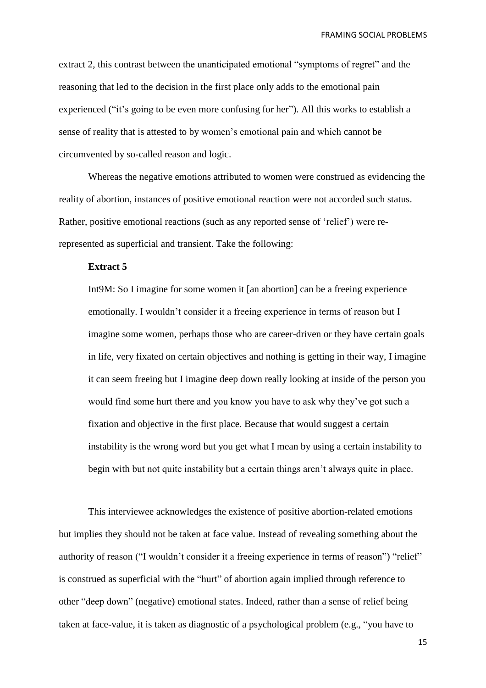extract 2, this contrast between the unanticipated emotional "symptoms of regret" and the reasoning that led to the decision in the first place only adds to the emotional pain experienced ("it's going to be even more confusing for her"). All this works to establish a sense of reality that is attested to by women's emotional pain and which cannot be circumvented by so-called reason and logic.

Whereas the negative emotions attributed to women were construed as evidencing the reality of abortion, instances of positive emotional reaction were not accorded such status. Rather, positive emotional reactions (such as any reported sense of 'relief') were rerepresented as superficial and transient. Take the following:

# **Extract 5**

Int9M: So I imagine for some women it [an abortion] can be a freeing experience emotionally. I wouldn't consider it a freeing experience in terms of reason but I imagine some women, perhaps those who are career-driven or they have certain goals in life, very fixated on certain objectives and nothing is getting in their way, I imagine it can seem freeing but I imagine deep down really looking at inside of the person you would find some hurt there and you know you have to ask why they've got such a fixation and objective in the first place. Because that would suggest a certain instability is the wrong word but you get what I mean by using a certain instability to begin with but not quite instability but a certain things aren't always quite in place.

This interviewee acknowledges the existence of positive abortion-related emotions but implies they should not be taken at face value. Instead of revealing something about the authority of reason ("I wouldn't consider it a freeing experience in terms of reason") "relief" is construed as superficial with the "hurt" of abortion again implied through reference to other "deep down" (negative) emotional states. Indeed, rather than a sense of relief being taken at face-value, it is taken as diagnostic of a psychological problem (e.g., "you have to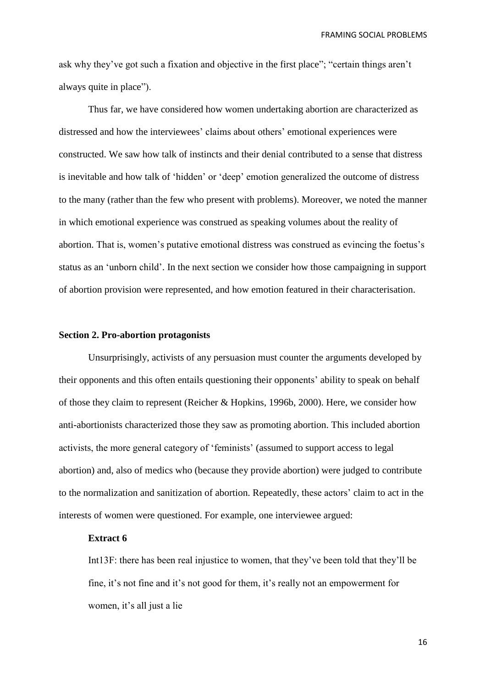ask why they've got such a fixation and objective in the first place"; "certain things aren't always quite in place").

Thus far, we have considered how women undertaking abortion are characterized as distressed and how the interviewees' claims about others' emotional experiences were constructed. We saw how talk of instincts and their denial contributed to a sense that distress is inevitable and how talk of 'hidden' or 'deep' emotion generalized the outcome of distress to the many (rather than the few who present with problems). Moreover, we noted the manner in which emotional experience was construed as speaking volumes about the reality of abortion. That is, women's putative emotional distress was construed as evincing the foetus's status as an 'unborn child'. In the next section we consider how those campaigning in support of abortion provision were represented, and how emotion featured in their characterisation.

### **Section 2. Pro-abortion protagonists**

Unsurprisingly, activists of any persuasion must counter the arguments developed by their opponents and this often entails questioning their opponents' ability to speak on behalf of those they claim to represent (Reicher & Hopkins, 1996b, 2000). Here, we consider how anti-abortionists characterized those they saw as promoting abortion. This included abortion activists, the more general category of 'feminists' (assumed to support access to legal abortion) and, also of medics who (because they provide abortion) were judged to contribute to the normalization and sanitization of abortion. Repeatedly, these actors' claim to act in the interests of women were questioned. For example, one interviewee argued:

## **Extract 6**

Int13F: there has been real injustice to women, that they've been told that they'll be fine, it's not fine and it's not good for them, it's really not an empowerment for women, it's all just a lie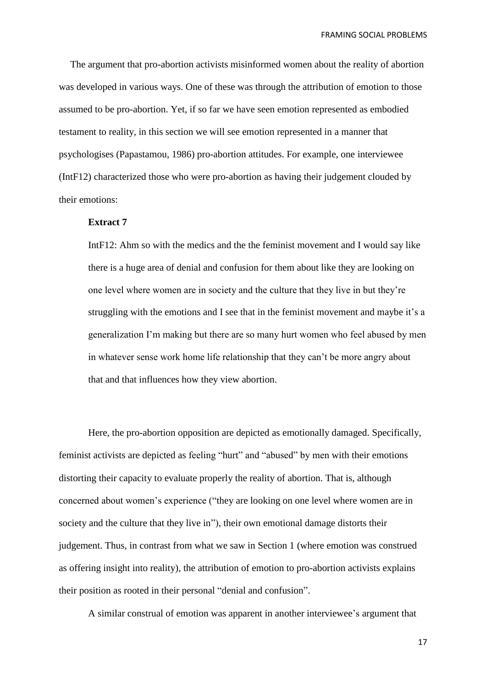The argument that pro-abortion activists misinformed women about the reality of abortion was developed in various ways. One of these was through the attribution of emotion to those assumed to be pro-abortion. Yet, if so far we have seen emotion represented as embodied testament to reality, in this section we will see emotion represented in a manner that psychologises (Papastamou, 1986) pro-abortion attitudes. For example, one interviewee (IntF12) characterized those who were pro-abortion as having their judgement clouded by their emotions:

# **Extract 7**

IntF12: Ahm so with the medics and the the feminist movement and I would say like there is a huge area of denial and confusion for them about like they are looking on one level where women are in society and the culture that they live in but they're struggling with the emotions and I see that in the feminist movement and maybe it's a generalization I'm making but there are so many hurt women who feel abused by men in whatever sense work home life relationship that they can't be more angry about that and that influences how they view abortion.

Here, the pro-abortion opposition are depicted as emotionally damaged. Specifically, feminist activists are depicted as feeling "hurt" and "abused" by men with their emotions distorting their capacity to evaluate properly the reality of abortion. That is, although concerned about women's experience ("they are looking on one level where women are in society and the culture that they live in"), their own emotional damage distorts their judgement. Thus, in contrast from what we saw in Section 1 (where emotion was construed as offering insight into reality), the attribution of emotion to pro-abortion activists explains their position as rooted in their personal "denial and confusion".

A similar construal of emotion was apparent in another interviewee's argument that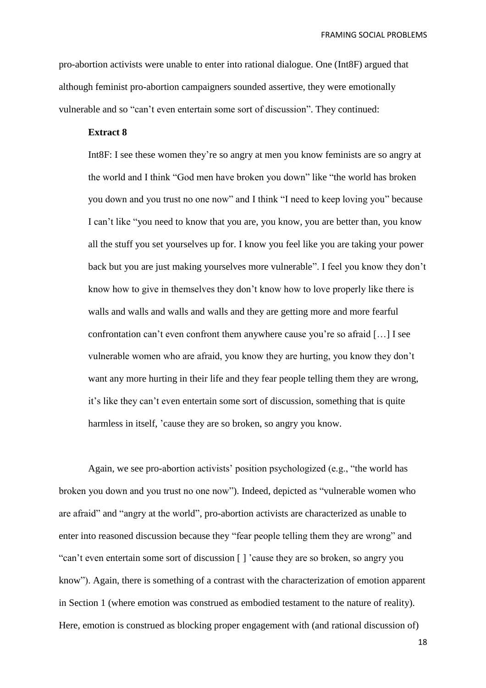pro-abortion activists were unable to enter into rational dialogue. One (Int8F) argued that although feminist pro-abortion campaigners sounded assertive, they were emotionally vulnerable and so "can't even entertain some sort of discussion". They continued:

# **Extract 8**

Int8F: I see these women they're so angry at men you know feminists are so angry at the world and I think "God men have broken you down" like "the world has broken you down and you trust no one now" and I think "I need to keep loving you" because I can't like "you need to know that you are, you know, you are better than, you know all the stuff you set yourselves up for. I know you feel like you are taking your power back but you are just making yourselves more vulnerable". I feel you know they don't know how to give in themselves they don't know how to love properly like there is walls and walls and walls and walls and they are getting more and more fearful confrontation can't even confront them anywhere cause you're so afraid […] I see vulnerable women who are afraid, you know they are hurting, you know they don't want any more hurting in their life and they fear people telling them they are wrong, it's like they can't even entertain some sort of discussion, something that is quite harmless in itself, 'cause they are so broken, so angry you know.

Again, we see pro-abortion activists' position psychologized (e.g., "the world has broken you down and you trust no one now"). Indeed, depicted as "vulnerable women who are afraid" and "angry at the world", pro-abortion activists are characterized as unable to enter into reasoned discussion because they "fear people telling them they are wrong" and "can't even entertain some sort of discussion [ ] 'cause they are so broken, so angry you know"). Again, there is something of a contrast with the characterization of emotion apparent in Section 1 (where emotion was construed as embodied testament to the nature of reality). Here, emotion is construed as blocking proper engagement with (and rational discussion of)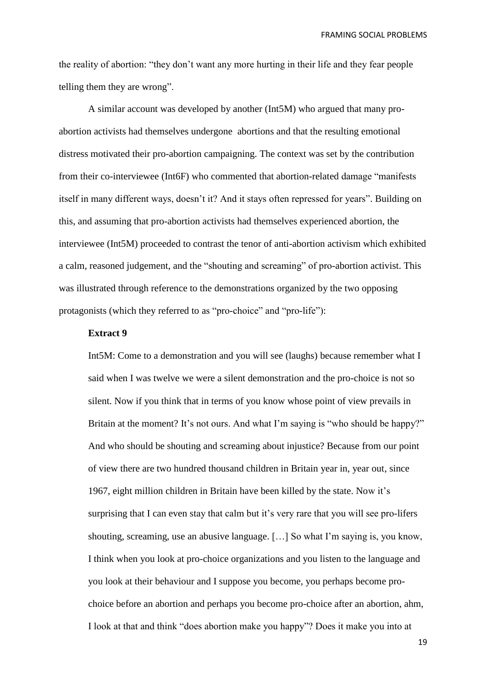the reality of abortion: "they don't want any more hurting in their life and they fear people telling them they are wrong".

A similar account was developed by another (Int5M) who argued that many proabortion activists had themselves undergone abortions and that the resulting emotional distress motivated their pro-abortion campaigning. The context was set by the contribution from their co-interviewee (Int6F) who commented that abortion-related damage "manifests itself in many different ways, doesn't it? And it stays often repressed for years". Building on this, and assuming that pro-abortion activists had themselves experienced abortion, the interviewee (Int5M) proceeded to contrast the tenor of anti-abortion activism which exhibited a calm, reasoned judgement, and the "shouting and screaming" of pro-abortion activist. This was illustrated through reference to the demonstrations organized by the two opposing protagonists (which they referred to as "pro-choice" and "pro-life"):

### **Extract 9**

Int5M: Come to a demonstration and you will see (laughs) because remember what I said when I was twelve we were a silent demonstration and the pro-choice is not so silent. Now if you think that in terms of you know whose point of view prevails in Britain at the moment? It's not ours. And what I'm saying is "who should be happy?" And who should be shouting and screaming about injustice? Because from our point of view there are two hundred thousand children in Britain year in, year out, since 1967, eight million children in Britain have been killed by the state. Now it's surprising that I can even stay that calm but it's very rare that you will see pro-lifers shouting, screaming, use an abusive language. […] So what I'm saying is, you know, I think when you look at pro-choice organizations and you listen to the language and you look at their behaviour and I suppose you become, you perhaps become prochoice before an abortion and perhaps you become pro-choice after an abortion, ahm, I look at that and think "does abortion make you happy"? Does it make you into at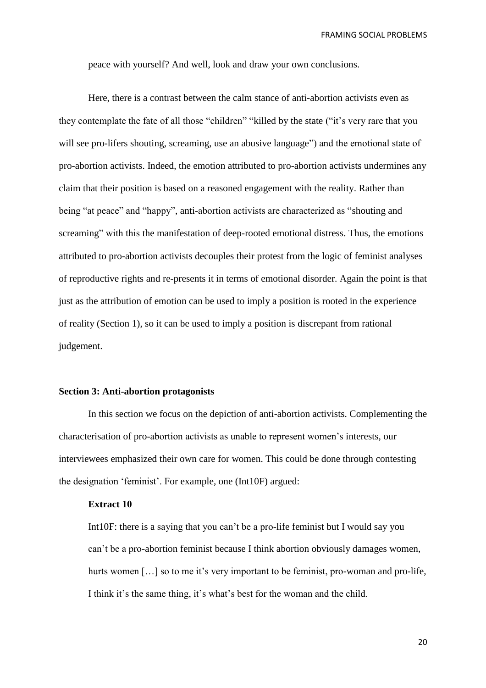peace with yourself? And well, look and draw your own conclusions.

Here, there is a contrast between the calm stance of anti-abortion activists even as they contemplate the fate of all those "children" "killed by the state ("it's very rare that you will see pro-lifers shouting, screaming, use an abusive language") and the emotional state of pro-abortion activists. Indeed, the emotion attributed to pro-abortion activists undermines any claim that their position is based on a reasoned engagement with the reality. Rather than being "at peace" and "happy", anti-abortion activists are characterized as "shouting and screaming" with this the manifestation of deep-rooted emotional distress. Thus, the emotions attributed to pro-abortion activists decouples their protest from the logic of feminist analyses of reproductive rights and re-presents it in terms of emotional disorder. Again the point is that just as the attribution of emotion can be used to imply a position is rooted in the experience of reality (Section 1), so it can be used to imply a position is discrepant from rational judgement.

#### **Section 3: Anti-abortion protagonists**

In this section we focus on the depiction of anti-abortion activists. Complementing the characterisation of pro-abortion activists as unable to represent women's interests, our interviewees emphasized their own care for women. This could be done through contesting the designation 'feminist'. For example, one (Int10F) argued:

# **Extract 10**

Int10F: there is a saying that you can't be a pro-life feminist but I would say you can't be a pro-abortion feminist because I think abortion obviously damages women, hurts women [...] so to me it's very important to be feminist, pro-woman and pro-life, I think it's the same thing, it's what's best for the woman and the child.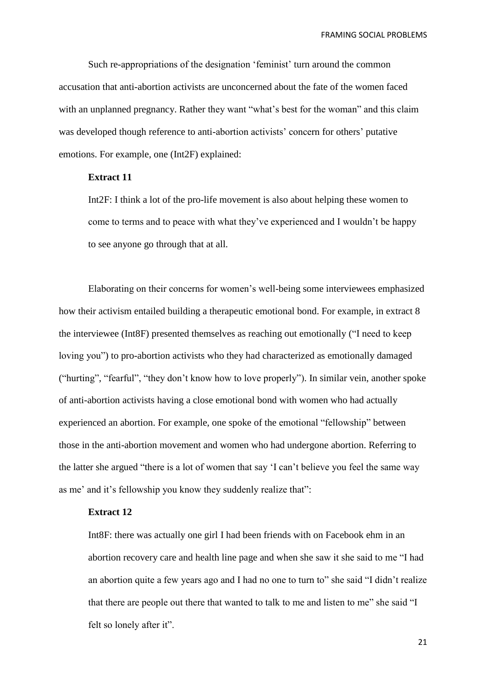Such re-appropriations of the designation 'feminist' turn around the common accusation that anti-abortion activists are unconcerned about the fate of the women faced with an unplanned pregnancy. Rather they want "what's best for the woman" and this claim was developed though reference to anti-abortion activists' concern for others' putative emotions. For example, one (Int2F) explained:

# **Extract 11**

Int2F: I think a lot of the pro-life movement is also about helping these women to come to terms and to peace with what they've experienced and I wouldn't be happy to see anyone go through that at all.

Elaborating on their concerns for women's well-being some interviewees emphasized how their activism entailed building a therapeutic emotional bond. For example, in extract 8 the interviewee (Int8F) presented themselves as reaching out emotionally ("I need to keep loving you") to pro-abortion activists who they had characterized as emotionally damaged ("hurting", "fearful", "they don't know how to love properly"). In similar vein, another spoke of anti-abortion activists having a close emotional bond with women who had actually experienced an abortion. For example, one spoke of the emotional "fellowship" between those in the anti-abortion movement and women who had undergone abortion. Referring to the latter she argued "there is a lot of women that say 'I can't believe you feel the same way as me' and it's fellowship you know they suddenly realize that":

### **Extract 12**

Int8F: there was actually one girl I had been friends with on Facebook ehm in an abortion recovery care and health line page and when she saw it she said to me "I had an abortion quite a few years ago and I had no one to turn to" she said "I didn't realize that there are people out there that wanted to talk to me and listen to me" she said "I felt so lonely after it".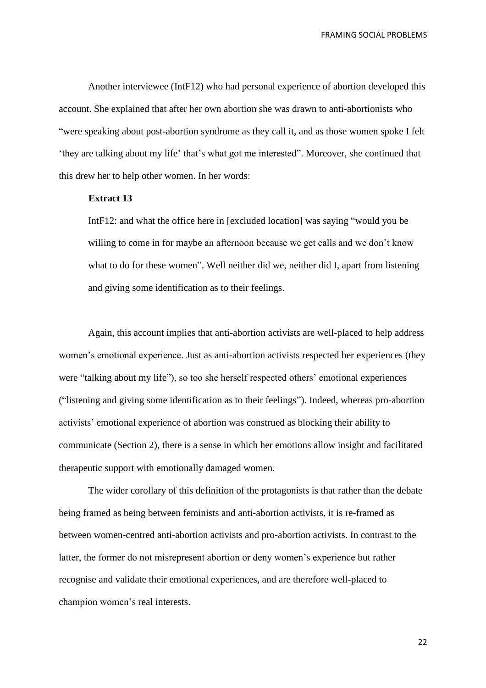Another interviewee (IntF12) who had personal experience of abortion developed this account. She explained that after her own abortion she was drawn to anti-abortionists who "were speaking about post-abortion syndrome as they call it, and as those women spoke I felt 'they are talking about my life' that's what got me interested". Moreover, she continued that this drew her to help other women. In her words:

# **Extract 13**

IntF12: and what the office here in [excluded location] was saying "would you be willing to come in for maybe an afternoon because we get calls and we don't know what to do for these women". Well neither did we, neither did I, apart from listening and giving some identification as to their feelings.

Again, this account implies that anti-abortion activists are well-placed to help address women's emotional experience. Just as anti-abortion activists respected her experiences (they were "talking about my life"), so too she herself respected others' emotional experiences ("listening and giving some identification as to their feelings"). Indeed, whereas pro-abortion activists' emotional experience of abortion was construed as blocking their ability to communicate (Section 2), there is a sense in which her emotions allow insight and facilitated therapeutic support with emotionally damaged women.

The wider corollary of this definition of the protagonists is that rather than the debate being framed as being between feminists and anti-abortion activists, it is re-framed as between women-centred anti-abortion activists and pro-abortion activists. In contrast to the latter, the former do not misrepresent abortion or deny women's experience but rather recognise and validate their emotional experiences, and are therefore well-placed to champion women's real interests.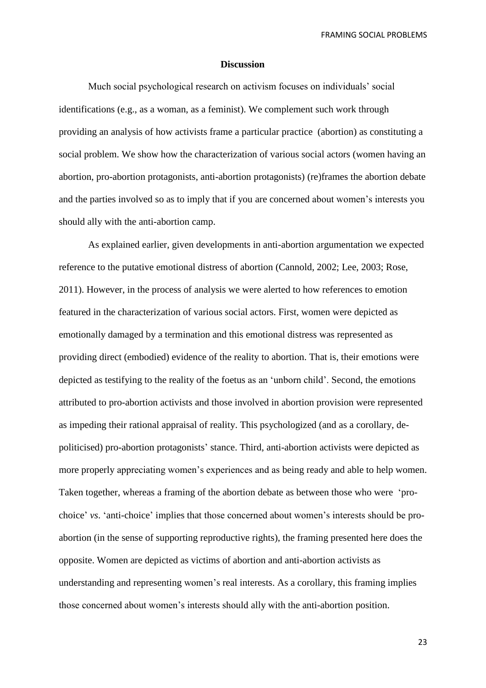#### **Discussion**

Much social psychological research on activism focuses on individuals' social identifications (e.g., as a woman, as a feminist). We complement such work through providing an analysis of how activists frame a particular practice (abortion) as constituting a social problem. We show how the characterization of various social actors (women having an abortion, pro-abortion protagonists, anti-abortion protagonists) (re)frames the abortion debate and the parties involved so as to imply that if you are concerned about women's interests you should ally with the anti-abortion camp.

As explained earlier, given developments in anti-abortion argumentation we expected reference to the putative emotional distress of abortion (Cannold, 2002; Lee, 2003; Rose, 2011). However, in the process of analysis we were alerted to how references to emotion featured in the characterization of various social actors. First, women were depicted as emotionally damaged by a termination and this emotional distress was represented as providing direct (embodied) evidence of the reality to abortion. That is, their emotions were depicted as testifying to the reality of the foetus as an 'unborn child'. Second, the emotions attributed to pro-abortion activists and those involved in abortion provision were represented as impeding their rational appraisal of reality. This psychologized (and as a corollary, depoliticised) pro-abortion protagonists' stance. Third, anti-abortion activists were depicted as more properly appreciating women's experiences and as being ready and able to help women. Taken together, whereas a framing of the abortion debate as between those who were 'prochoice' *vs*. 'anti-choice' implies that those concerned about women's interests should be proabortion (in the sense of supporting reproductive rights), the framing presented here does the opposite. Women are depicted as victims of abortion and anti-abortion activists as understanding and representing women's real interests. As a corollary, this framing implies those concerned about women's interests should ally with the anti-abortion position.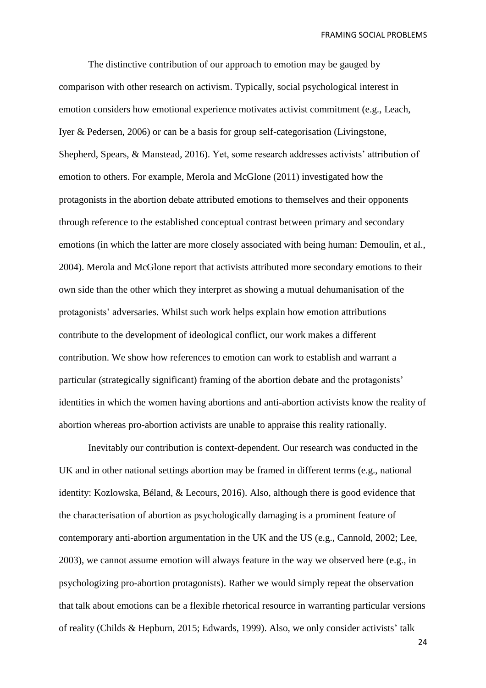The distinctive contribution of our approach to emotion may be gauged by comparison with other research on activism. Typically, social psychological interest in emotion considers how emotional experience motivates activist commitment (e.g., Leach, Iyer & Pedersen, 2006) or can be a basis for group self-categorisation (Livingstone, Shepherd, Spears, & Manstead, 2016). Yet, some research addresses activists' attribution of emotion to others. For example, Merola and McGlone (2011) investigated how the protagonists in the abortion debate attributed emotions to themselves and their opponents through reference to the established conceptual contrast between primary and secondary emotions (in which the latter are more closely associated with being human: Demoulin, et al., 2004). Merola and McGlone report that activists attributed more secondary emotions to their own side than the other which they interpret as showing a mutual dehumanisation of the protagonists' adversaries. Whilst such work helps explain how emotion attributions contribute to the development of ideological conflict, our work makes a different contribution. We show how references to emotion can work to establish and warrant a particular (strategically significant) framing of the abortion debate and the protagonists' identities in which the women having abortions and anti-abortion activists know the reality of abortion whereas pro-abortion activists are unable to appraise this reality rationally.

Inevitably our contribution is context-dependent. Our research was conducted in the UK and in other national settings abortion may be framed in different terms (e.g., national identity: Kozlowska, Béland, & Lecours, 2016). Also, although there is good evidence that the characterisation of abortion as psychologically damaging is a prominent feature of contemporary anti-abortion argumentation in the UK and the US (e.g., Cannold, 2002; Lee, 2003), we cannot assume emotion will always feature in the way we observed here (e.g., in psychologizing pro-abortion protagonists). Rather we would simply repeat the observation that talk about emotions can be a flexible rhetorical resource in warranting particular versions of reality (Childs & Hepburn, 2015; Edwards, 1999). Also, we only consider activists' talk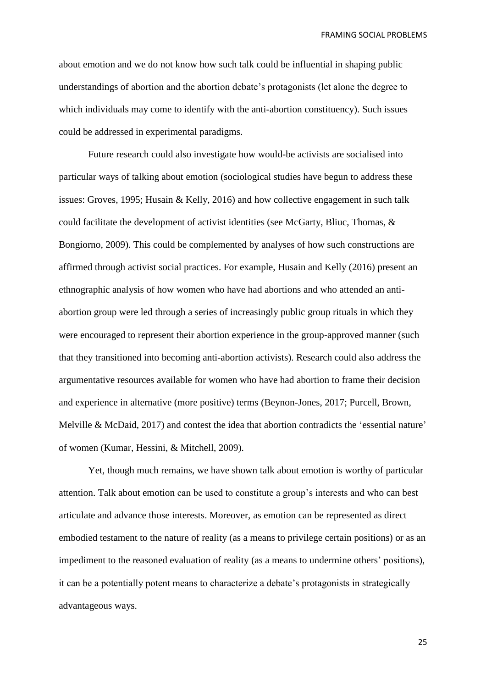about emotion and we do not know how such talk could be influential in shaping public understandings of abortion and the abortion debate's protagonists (let alone the degree to which individuals may come to identify with the anti-abortion constituency). Such issues could be addressed in experimental paradigms.

Future research could also investigate how would-be activists are socialised into particular ways of talking about emotion (sociological studies have begun to address these issues: Groves, 1995; Husain & Kelly, 2016) and how collective engagement in such talk could facilitate the development of activist identities (see McGarty, Bliuc, Thomas, & Bongiorno, 2009). This could be complemented by analyses of how such constructions are affirmed through activist social practices. For example, Husain and Kelly (2016) present an ethnographic analysis of how women who have had abortions and who attended an antiabortion group were led through a series of increasingly public group rituals in which they were encouraged to represent their abortion experience in the group-approved manner (such that they transitioned into becoming anti-abortion activists). Research could also address the argumentative resources available for women who have had abortion to frame their decision and experience in alternative (more positive) terms (Beynon-Jones, 2017; Purcell, Brown, Melville & McDaid, 2017) and contest the idea that abortion contradicts the 'essential nature' of women (Kumar, Hessini, & Mitchell, 2009).

Yet, though much remains, we have shown talk about emotion is worthy of particular attention. Talk about emotion can be used to constitute a group's interests and who can best articulate and advance those interests. Moreover, as emotion can be represented as direct embodied testament to the nature of reality (as a means to privilege certain positions) or as an impediment to the reasoned evaluation of reality (as a means to undermine others' positions), it can be a potentially potent means to characterize a debate's protagonists in strategically advantageous ways.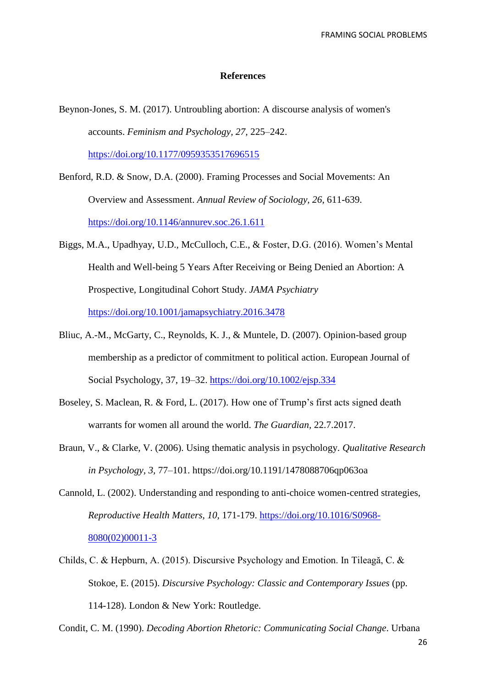#### **References**

- Beynon-Jones, S. M. (2017). Untroubling abortion: A discourse analysis of women's accounts. *Feminism and Psychology, 27,* 225–242. <https://doi.org/10.1177/0959353517696515>
- Benford, R.D. & Snow, D.A. (2000). Framing Processes and Social Movements: An Overview and Assessment. *Annual Review of Sociology, 26*, 611-639. <https://doi.org/10.1146/annurev.soc.26.1.611>
- Biggs, M.A., Upadhyay, U.D., McCulloch, C.E., & Foster, D.G. (2016). Women's Mental Health and Well-being 5 Years After Receiving or Being Denied an Abortion: A Prospective, Longitudinal Cohort Study. *JAMA Psychiatry* <https://doi.org/10.1001/jamapsychiatry.2016.3478>
- Bliuc, A.-M., McGarty, C., Reynolds, K. J., & Muntele, D. (2007). Opinion-based group membership as a predictor of commitment to political action. European Journal of Social Psychology, 37, 19–32. <https://doi.org/10.1002/ejsp.334>
- Boseley, S. Maclean, R. & Ford, L. (2017). How one of Trump's first acts signed death warrants for women all around the world. *The Guardian,* 22.7.2017.
- Braun, V., & Clarke, V. (2006). Using thematic analysis in psychology. *Qualitative Research in Psychology, 3,* 77–101. https://doi.org/10.1191/1478088706qp063oa
- Cannold, L. (2002). Understanding and responding to anti-choice women-centred strategies, *Reproductive Health Matters, 10,* 171-179. [https://doi.org/10.1016/S0968-](https://doi.org/10.1016/S0968-8080(02)00011-3) [8080\(02\)00011-3](https://doi.org/10.1016/S0968-8080(02)00011-3)
- Childs, C. & Hepburn, A. (2015). Discursive Psychology and Emotion. In Tileagă, C. & Stokoe, E. (2015). *[Discursive Psychology: Classic and Contemporary Issues](https://books.google.co.uk/books?id=y-xzCgAAQBAJ&pg=PA127&lpg=PA127&dq=locke+emotion+discourse&source=bl&ots=N5KhGu5N_7&sig=864He78qyO10hxoYoh31YrHZ1K4&hl=en&sa=X&ved=0ahUKEwis0ZW1qf_NAhWNF8AKHTSqBbkQ6AEIRjAH)* (pp. 114-128). London & New York: Routledge.

Condit, C. M. (1990). *Decoding Abortion Rhetoric: Communicating Social Change*. Urbana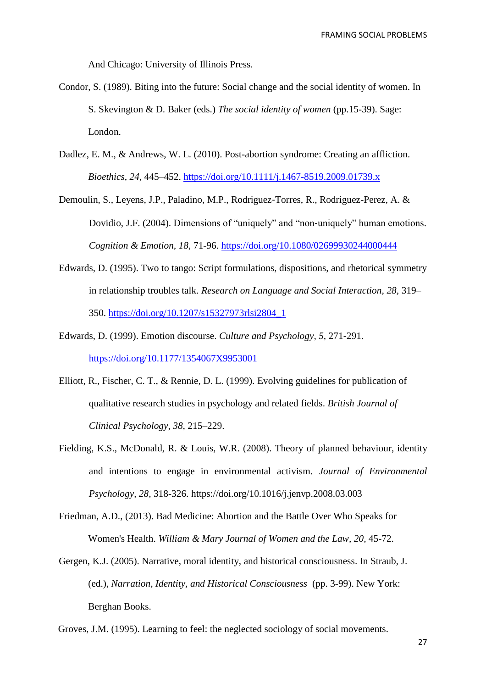And Chicago: University of Illinois Press.

- Condor, S. (1989). Biting into the future: Social change and the social identity of women. In S. Skevington & D. Baker (eds.) *The social identity of women* (pp.15-39). Sage: London.
- Dadlez, E. M., & Andrews, W. L. (2010). Post-abortion syndrome: Creating an affliction. *Bioethics*, *24*, 445–452.<https://doi.org/10.1111/j.1467-8519.2009.01739.x>
- Demoulin, S., Leyens, J.P., Paladino, M.P., Rodriguez‐Torres, R., Rodriguez-Perez, A. & Dovidio, J.F. (2004). [Dimensions of "uniquely" and "non](https://scholar.google.com/citations?view_op=view_citation&hl=fr&user=D5bosF0AAAAJ&citation_for_view=D5bosF0AAAAJ:9yKSN-GCB0IC)-uniquely" human emotions. *Cognition & Emotion, 18,* 71-96. <https://doi.org/10.1080/02699930244000444>
- Edwards, D. (1995). Two to tango: Script formulations, dispositions, and rhetorical symmetry in relationship troubles talk. *Research on Language and Social Interaction, 28,* 319– 350. [https://doi.org/10.1207/s15327973rlsi2804\\_1](https://doi.org/10.1207/s15327973rlsi2804_1)
- Edwards, D. (1999). Emotion discourse. *Culture and Psychology, 5,* 271-291. <https://doi.org/10.1177/1354067X9953001>
- Elliott, R., Fischer, C. T., & Rennie, D. L. (1999). Evolving guidelines for publication of qualitative research studies in psychology and related fields. *British Journal of Clinical Psychology, 38,* 215–229.
- Fielding, K.S., McDonald, R. & Louis, W.R. (2008). Theory of planned behaviour, identity and intentions to engage in environmental activism. *Journal of Environmental Psychology, 28,* 318-326. https://doi.org/10.1016/j.jenvp.2008.03.003
- Friedman, A.D., (2013). Bad Medicine: Abortion and the Battle Over Who Speaks for Women's Health. *William & Mary Journal of Women and the Law, 20, 45-72.*
- [Gergen,](https://philpapers.org/s/Kenneth%20J.%20Gergen) K.J. (2005). Narrative, moral identity, and historical consciousness. In Straub, J. (ed.), *[Narration, Identity, and Historical Consciousness](https://philpapers.org/rec/STRNIA)* (pp. 3-99). New York: Berghan Books.
- Groves, J.M. (1995). Learning to feel: the neglected sociology of social movements.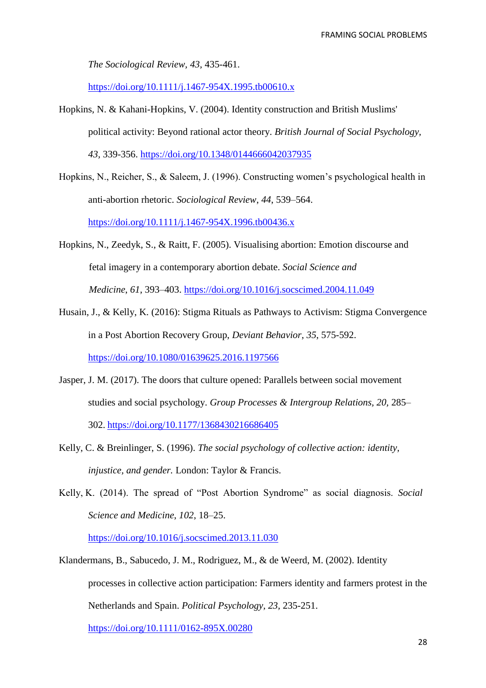*The Sociological Review, 43,* 435-461.

<https://doi.org/10.1111/j.1467-954X.1995.tb00610.x>

- Hopkins, N. & Kahani-Hopkins, V. (2004). Identity construction and British Muslims' political activity: Beyond rational actor theory. *British Journal of Social Psychology, 43,* 339-356. <https://doi.org/10.1348/0144666042037935>
- Hopkins, N., Reicher, S., & Saleem, J. (1996). Constructing women's psychological health in anti-abortion rhetoric. *Sociological Review*, *44*, 539–564. <https://doi.org/10.1111/j.1467-954X.1996.tb00436.x>
- Hopkins, N., Zeedyk, S., & Raitt, F. (2005). Visualising abortion: Emotion discourse and fetal imagery in a contemporary abortion debate. *Social Science and Medicine*, *61*, 393–403.<https://doi.org/10.1016/j.socscimed.2004.11.049>
- Husain, J., & Kelly, K. (2016): Stigma Rituals as Pathways to Activism: Stigma Convergence in a Post Abortion Recovery Group, *Deviant Behavior*, *35*, 575-592. <https://doi.org/10.1080/01639625.2016.1197566>
- Jasper, J. M. (2017). The doors that culture opened: Parallels between social movement studies and social psychology. *Group Processes & Intergroup Relations, 20,* 285– 302. <https://doi.org/10.1177/1368430216686405>
- Kelly, C. & Breinlinger, S. (1996). *The social psychology of collective action: identity, injustice, and gender.* London: Taylor & Francis.
- Kelly, K. (2014). The spread of "Post Abortion Syndrome" as social diagnosis. *Social Science and Medicine*, *102*, 18–25.

<https://doi.org/10.1016/j.socscimed.2013.11.030>

Klandermans, B., Sabucedo, J. M., Rodriguez, M., & de Weerd, M. (2002). Identity processes in collective action participation: Farmers identity and farmers protest in the Netherlands and Spain. *Political Psychology, 23,* 235-251. <https://doi.org/10.1111/0162-895X.00280>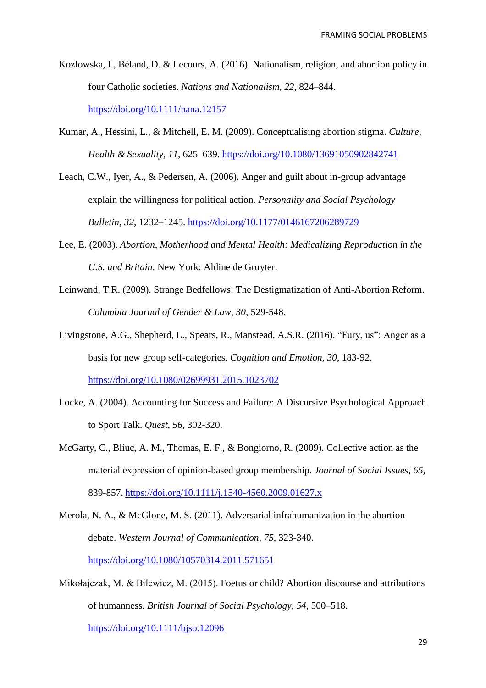- Kozlowska, I., Béland, D. & Lecours, A. (2016). Nationalism, religion, and abortion policy in four Catholic societies. *Nations and Nationalism, 22,* 824–844. <https://doi.org/10.1111/nana.12157>
- Kumar, A., Hessini, L., & Mitchell, E. M. (2009). Conceptualising abortion stigma. *Culture, Health & Sexuality, 11,* 625–639.<https://doi.org/10.1080/13691050902842741>
- Leach, C.W., Iyer, A., & Pedersen, A. (2006). Anger and guilt about in-group advantage explain the willingness for political action. *Personality and Social Psychology Bulletin, 32,* 1232–1245. <https://doi.org/10.1177/0146167206289729>
- Lee, E. (2003). *Abortion, Motherhood and Mental Health: Medicalizing Reproduction in the U.S. and Britain*. New York: Aldine de Gruyter.
- Leinwand, T.R. (2009). Strange Bedfellows: The Destigmatization of Anti-Abortion Reform. *Columbia Journal of Gender & Law, 30,* 529-548.
- Livingstone, A.G., Shepherd, L., Spears, R., Manstead, A.S.R. (2016). "Fury, us": Anger as a basis for new group self-categories. *Cognition and Emotion, 30,* 183-92. <https://doi.org/10.1080/02699931.2015.1023702>
- Locke, A. (2004). Accounting for Success and Failure: A Discursive Psychological Approach to Sport Talk. *Quest, 56,* 302-320.
- McGarty, C., Bliuc, A. M., Thomas, E. F., & Bongiorno, R. (2009). Collective action as the material expression of opinion-based group membership. *Journal of Social Issues, 65,* 839-857. <https://doi.org/10.1111/j.1540-4560.2009.01627.x>
- Merola, N. A., & McGlone, M. S. (2011). Adversarial infrahumanization in the abortion debate. *Western Journal of Communication*, *75*, 323-340. <https://doi.org/10.1080/10570314.2011.571651>
- Mikołajczak, M. & Bilewicz, M. (2015). [Foetus or child? Abortion discourse and attributions](http://onlinelibrary.wiley.com/doi/10.1111/bjso.12096/full)  of humanness. *[British Journal of Social Psychology, 54,](http://onlinelibrary.wiley.com/doi/10.1111/bjso.12096/full)* 500–518. <https://doi.org/10.1111/bjso.12096>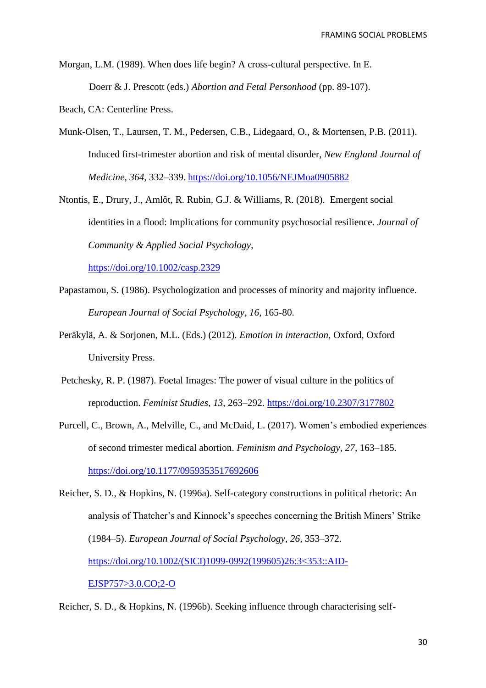Morgan, L.M. (1989). When does life begin? A cross-cultural perspective. In E. Doerr & J. Prescott (eds.) *Abortion and Fetal Personhood* (pp. 89-107).

Beach, CA: Centerline Press.

- Munk-Olsen, T., Laursen, T. M., Pedersen, C.B., Lidegaard, O., & Mortensen, P.B. (2011). Induced first-trimester abortion and risk of mental disorder, *New England Journal of Medicine, 364,* 332–339. https://doi.org/10[.1056/NEJMoa0905882](https://doi.org/10.1056/NEJMoa0905882)
- Ntontis, E., Drury, J., Amlôt, R. Rubin, G.J. & Williams, R. (2018). Emergent social identities in a flood: Implications for community psychosocial resilience. *Journal of Community & Applied Social Psychology*,

<https://doi.org/10.1002/casp.2329>

- Papastamou, S. (1986). Psychologization and processes of minority and majority influence. *European Journal of Social Psychology, 16,* 165-80.
- Peräkylä, A. & Sorjonen, M.L. (Eds.) (2012). *Emotion in interaction*, Oxford, Oxford University Press.
- Petchesky, R. P. (1987). Foetal Images: The power of visual culture in the politics of reproduction. *Feminist Studies*, *13*, 263–292.<https://doi.org/10.2307/3177802>
- Purcell, C., Brown, A., Melville, C., and McDaid, L. (2017). Women's embodied experiences of second trimester medical abortion. *Feminism and Psychology, 27,* 163–185. https://doi.org/10[.1177/0959353517692606](https://doi.org/10.1177/0959353517692606)

Reicher, S. D., & Hopkins, N. (1996a). Self-category constructions in political rhetoric: An analysis of Thatcher's and Kinnock's speeches concerning the British Miners' Strike (1984–5). *European Journal of Social Psychology, 26,* 353–372. ht[tps://doi.org/10.1002/\(SICI\)1099-0992\(199605\)26:3<353::AID-](https://doi.org/10.1002/(SICI)1099-0992(199605)26:3%3c353::AID-EJSP757%3e3.0.CO;2-O)[EJSP757>3.0.CO;2-O](https://doi.org/10.1002/(SICI)1099-0992(199605)26:3%3c353::AID-EJSP757%3e3.0.CO;2-O)

Reicher, S. D., & Hopkins, N. (1996b). Seeking influence through characterising self-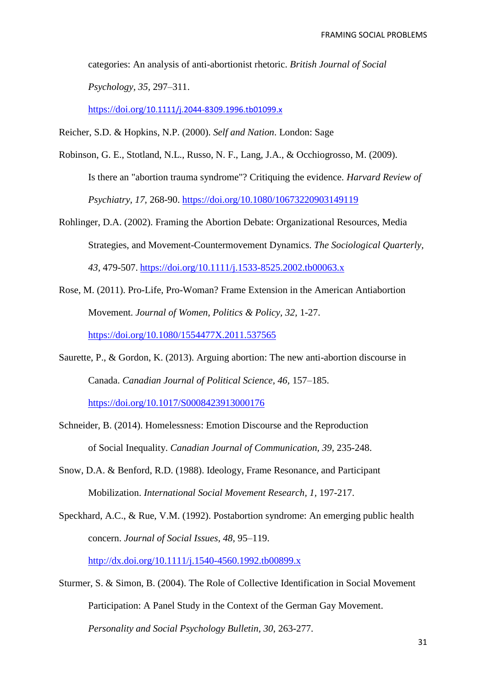categories: An analysis of anti-abortionist rhetoric. *British Journal of Social Psychology, 35,* 297–311.

https://doi.org/[10.1111/j.2044-8309.1996.tb01099.x](https://doi.org/10.1111/j.2044-8309.1996.tb01099.x)

Reicher, S.D. & Hopkins, N.P. (2000). *Self and Nation*. London: Sage

- [Robinson, G. E.](http://www.ncbi.nlm.nih.gov/pubmed/?term=Robinson%20GE%5BAuthor%5D&cauthor=true&cauthor_uid=19637075), [Stotland, N.L.](http://www.ncbi.nlm.nih.gov/pubmed/?term=Stotland%20NL%5BAuthor%5D&cauthor=true&cauthor_uid=19637075), [Russo, N. F.](http://www.ncbi.nlm.nih.gov/pubmed/?term=Russo%20NF%5BAuthor%5D&cauthor=true&cauthor_uid=19637075), [Lang, J.A.](http://www.ncbi.nlm.nih.gov/pubmed/?term=Lang%20JA%5BAuthor%5D&cauthor=true&cauthor_uid=19637075), & [Occhiogrosso, M.](http://www.ncbi.nlm.nih.gov/pubmed/?term=Occhiogrosso%20M%5BAuthor%5D&cauthor=true&cauthor_uid=19637075) (2009). Is there an "abortion trauma syndrome"? Critiquing the evidence. *Harvard Review of Psychiatry, 17,* 268-90.<https://doi.org/10.1080/10673220903149119>
- Rohlinger, D.A. (2002). Framing the Abortion Debate: Organizational Resources, Media Strategies, and Movement-Countermovement Dynamics. *The Sociological Quarterly, 43,* 479-507. <https://doi.org/10.1111/j.1533-8525.2002.tb00063.x>
- Rose, M. (2011). Pro-Life, Pro-Woman? Frame Extension in the American Antiabortion Movement. *Journal of Women, Politics & Policy, 32,* 1-27. <https://doi.org/10.1080/1554477X.2011.537565>
- Saurette, P., & Gordon, K. (2013). Arguing abortion: The new anti-abortion discourse in Canada. *Canadian Journal of Political Science, 46,* 157–185.

<https://doi.org/10.1017/S0008423913000176>

- Schneider, B. (2014). Homelessness: Emotion Discourse and the Reproduction of Social Inequality. *Canadian Journal of Communication, 39,* 235-248.
- Snow, D.A. & Benford, R.D. (1988). Ideology, Frame Resonance, and Participant Mobilization. *International Social Movement Research, 1,* 197-217.
- Speckhard, A.C., & Rue, V.M. (1992). Postabortion syndrome: An emerging public health concern. *Journal of Social Issues, 48,* 95–119. <http://dx.doi.org/10.1111/j.1540-4560.1992.tb00899.x>

Sturmer, S. & Simon, B. (2004). The Role of Collective Identification in Social Movement Participation: A Panel Study in the Context of the German Gay Movement.

*Personality and Social Psychology Bulletin, 30,* 263-277.